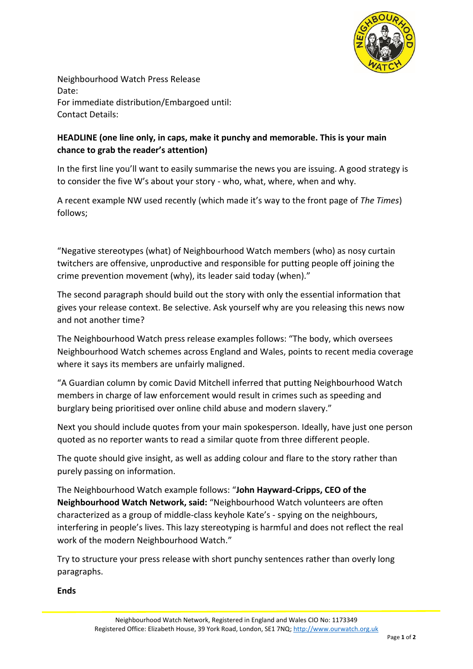

Neighbourhood Watch Press Release Date: For immediate distribution/Embargoed until: Contact Details:

## **HEADLINE (one line only, in caps, make it punchy and memorable. This is your main chance to grab the reader's attention)**

In the first line you'll want to easily summarise the news you are issuing. A good strategy is to consider the five W's about your story - who, what, where, when and why.

A recent example NW used recently (which made it's way to the front page of *The Times*) follows;

"Negative stereotypes (what) of Neighbourhood Watch members (who) as nosy curtain twitchers are offensive, unproductive and responsible for putting people off joining the crime prevention movement (why), its leader said today (when)."

The second paragraph should build out the story with only the essential information that gives your release context. Be selective. Ask yourself why are you releasing this news now and not another time?

The Neighbourhood Watch press release examples follows: "The body, which oversees Neighbourhood Watch schemes across England and Wales, points to recent media coverage where it says its members are unfairly maligned.

"A Guardian column by comic David Mitchell inferred that putting Neighbourhood Watch members in charge of law enforcement would result in crimes such as speeding and burglary being prioritised over online child abuse and modern slavery."

Next you should include quotes from your main spokesperson. Ideally, have just one person quoted as no reporter wants to read a similar quote from three different people.

The quote should give insight, as well as adding colour and flare to the story rather than purely passing on information.

The Neighbourhood Watch example follows: "**John Hayward-Cripps, CEO of the Neighbourhood Watch Network, said:** "Neighbourhood Watch volunteers are often characterized as a group of middle-class keyhole Kate's - spying on the neighbours, interfering in people's lives. This lazy stereotyping is harmful and does not reflect the real work of the modern Neighbourhood Watch."

Try to structure your press release with short punchy sentences rather than overly long paragraphs.

**Ends**